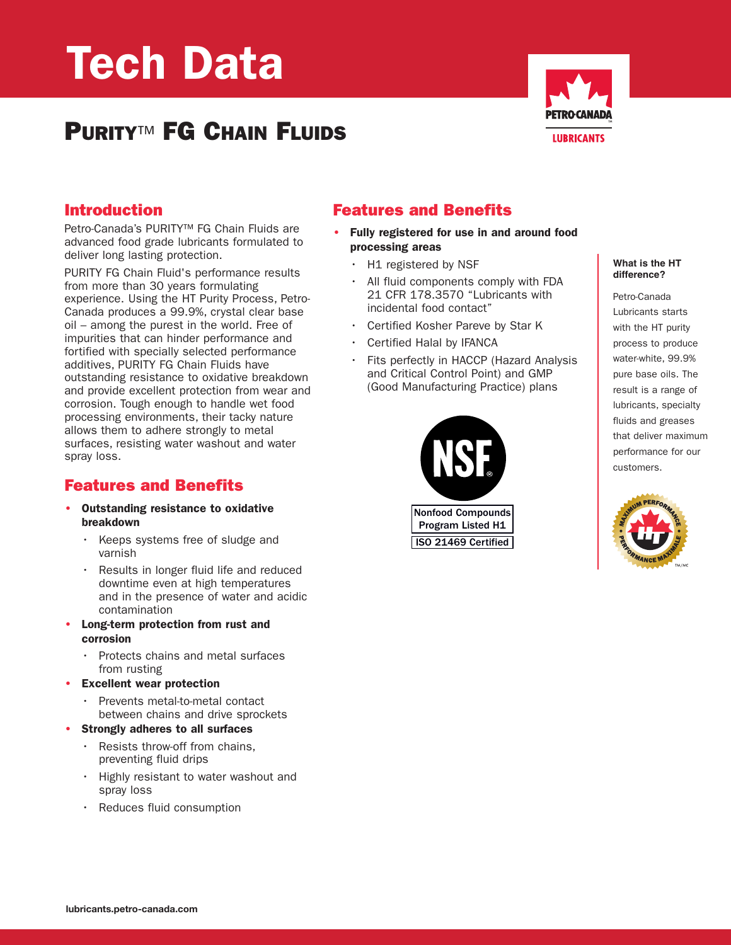# **Tech Data**

# **PURITY**™ **FG CHAIN FLUIDS**



#### **Introduction**

Petro-Canada's PURITY™ FG Chain Fluids are advanced food grade lubricants formulated to deliver long lasting protection.

PURITY FG Chain Fluid's performance results from more than 30 years formulating experience. Using the HT Purity Process, Petro-Canada produces a 99.9%, crystal clear base oil – among the purest in the world. Free of impurities that can hinder performance and fortified with specially selected performance additives, PURITY FG Chain Fluids have outstanding resistance to oxidative breakdown and provide excellent protection from wear and corrosion. Tough enough to handle wet food processing environments, their tacky nature allows them to adhere strongly to metal surfaces, resisting water washout and water spray loss.

#### **Features and Benefits**

- **• Outstanding resistance to oxidative breakdown**
	- Keeps systems free of sludge and varnish
	- Results in longer fluid life and reduced downtime even at high temperatures and in the presence of water and acidic contamination
- **• Long-term protection from rust and corrosion**
	- Protects chains and metal surfaces from rusting
- **• Excellent wear protection**
	- Prevents metal-to-metal contact between chains and drive sprockets
- **• Strongly adheres to all surfaces**
	- Resists throw-off from chains, preventing fluid drips
	- Highly resistant to water washout and spray loss
	- Reduces fluid consumption

## **Features and Benefits**

- **• Fully registered for use in and around food processing areas**
	- H1 registered by NSF
	- All fluid components comply with FDA 21 CFR 178.3570 "Lubricants with incidental food contact"
	- Certified Kosher Pareve by Star K
	- Certified Halal by IFANCA
	- Fits perfectly in HACCP (Hazard Analysis and Critical Control Point) and GMP (Good Manufacturing Practice) plans



**What is the HT difference?**

Petro-Canada Lubricants starts with the HT purity process to produce water-white, 99.9% pure base oils. The result is a range of lubricants, specialty fluids and greases that deliver maximum performance for our customers.